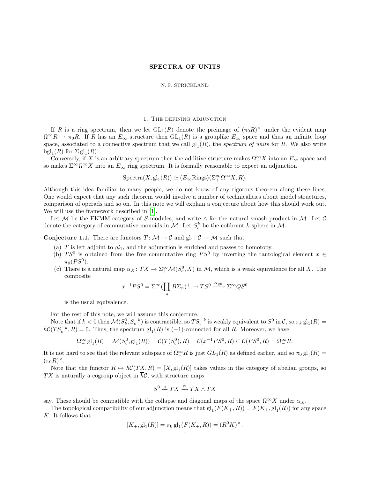## SPECTRA OF UNITS

#### N. P. STRICKLAND

### 1. The defining adjunction

If R is a ring spectrum, then we let  $GL_1(R)$  denote the preimage of  $(\pi_0 R)^{\times}$  under the evident map  $\Omega^{\infty}R \to \pi_0R$ . If R has an  $E_{\infty}$  structure then  $GL_1(R)$  is a grouplike  $E_{\infty}$  space and thus an infinite loop space, associated to a connective spectrum that we call  $gl_1(R)$ , the *spectrum of units* for R. We also write bgl<sub>1</sub>(*R*) for  $\Sigma$  gl<sub>1</sub>(*R*).

Conversely, if X is an arbitrary spectrum then the additive structure makes  $\Omega_-^{\infty} X$  into an  $E_{\infty}$  space and so makes  $\Sigma^{\infty}_+ \Omega^{\infty}_- X$  into an  $E_{\infty}$  ring spectrum. It is formally reasonable to expect an adjunction

$$
Spectra(X, gl_1(R)) \simeq (E_{\infty} Rings)(\Sigma^{\infty}_+ \Omega^{\infty}_- X, R).
$$

Although this idea familiar to many people, we do not know of any rigorous theorem along these lines. One would expect that any such theorem would involve a number of technicalities about model structures, comparison of operads and so on. In this note we will explain a conjecture about how this should work out. We will use the framework described in [\[1\]](#page-7-0).

Let M be the EKMM category of S-modules, and write  $\land$  for the natural smash product in M. Let C denote the category of commutative monoids in M. Let  $S_c^k$  be the cofibrant k-sphere in M.

**Conjecture 1.1.** There are functors  $T: \mathcal{M} \to \mathcal{C}$  and  $gl_1: \mathcal{C} \to \mathcal{M}$  such that

- (a) T is left adjoint to  $gl_1$ , and the adjunction is enriched and passes to homotopy.
- (b)  $TS^0$  is obtained from the free commutative ring  $PS^0$  by inverting the tautological element  $x \in$  $\pi_0(PS^0)$ .
- (c) There is a natural map  $\alpha_X: TX \to \Sigma^\infty_+ \mathcal{M}(S^0_c, X)$  in M, which is a weak equivalence for all X. The composite

$$
x^{-1}PS^0 = \Sigma^\infty (\coprod_n B\Sigma_n)^+ \to TS^0 \xrightarrow{\alpha_{S^0}} \Sigma_+^\infty QS^0
$$

is the usual equivalence.

For the rest of this note, we will assume this conjecture.

Note that if  $k < 0$  then  $\mathcal{M}(S_k^0, S_c^{-k})$  is contractible, so  $TS_c^{-k}$  is weakly equivalent to  $S^0$  in  $\mathcal{C}$ , so  $\pi_k$   $gl_1(R)$  =  $\overline{h}\mathcal{C}(TS_c^{-k},R) = 0$ . Thus, the spectrum  $gl_1(R)$  is  $(-1)$ -connected for all R. Moreover, we have

$$
\Omega^{\infty}_{-} \mathbf{gl}_1(R) = \mathcal{M}(S_c^0, \mathbf{gl}_1(R)) = \mathcal{C}(T(S_c^0), R) = \mathcal{C}(x^{-1}PS^0, R) \subset \mathcal{C}(PS^0, R) = \Omega^{\infty}_{-}R.
$$

It is not hard to see that the relevant subspace of  $\Omega_{-}^{\infty}R$  is just  $GL_1(R)$  as defined earlier, and so  $\pi_0 \text{ gl}_1(R)$  $(\pi_0 R)^{\times}.$ 

Note that the functor  $R \mapsto h\mathcal{C}(TX, R) = [X, \mathrm{gl}_1(R)]$  takes values in the category of abelian groups, so TX is naturally a cogroup object in  $\overline{h}\mathcal{C}$ , with structure maps

$$
S^0 \xleftarrow{\epsilon} TX \xrightarrow{\psi} TX \wedge TX
$$

say. These should be compatible with the collapse and diagonal maps of the space  $\Omega \nsubseteq X$  under  $\alpha_X$ .

The topological compatibility of our adjunction means that  $gl_1(F(K_+, R)) = F(K_+, gl_1(R))$  for any space K. It follows that

$$
[K_+, \mathrm{gl}_1(R)] = \pi_0 \, \mathrm{gl}_1(F(K_+, R)) = (R^0 K)^{\times}.
$$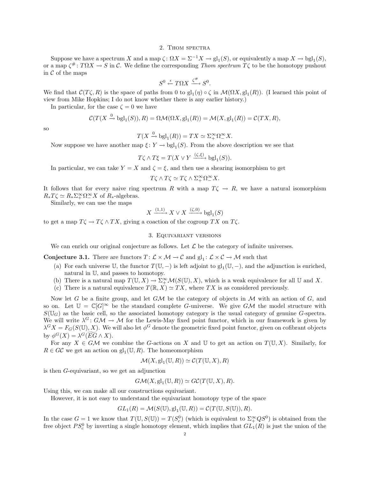#### 2. Thom spectra

Suppose we have a spectrum X and a map  $\zeta: \Omega X = \Sigma^{-1} X \to \mathrm{gl}_1(S)$ , or equivalently a map  $X \to \mathrm{bel}_1(S)$ , or a map  $\zeta^*$ :  $T\Omega X \to S$  in C. We define the corresponding Thom spectrum  $T\zeta$  to be the homotopy pushout in  $C$  of the maps

$$
S^0 \xleftarrow{\epsilon} T\Omega X \xrightarrow{\zeta^{\#}} S^0.
$$

We find that  $\mathcal{C}(T\zeta,R)$  is the space of paths from 0 to  $gl_1(\eta) \circ \zeta$  in  $\mathcal{M}(\Omega X,gl_1(R))$ . (I learned this point of view from Mike Hopkins; I do not know whether there is any earlier history.)

In particular, for the case  $\zeta = 0$  we have

$$
\mathcal{C}(T(X \xrightarrow{0} \text{bgl}_1(S)), R) = \Omega \mathcal{M}(\Omega X, \text{gl}_1(R)) = \mathcal{M}(X, \text{gl}_1(R)) = \mathcal{C}(TX, R),
$$

so

$$
T(X \xrightarrow{0} \text{bgl}_1(R)) = TX \simeq \Sigma_+^{\infty} \Omega_-^{\infty} X.
$$

Now suppose we have another map  $\xi: Y \to \text{bgl}_1(S)$ . From the above description we see that

$$
T\zeta \wedge T\xi = T(X \vee Y \xrightarrow{(\zeta,\xi)} \text{bgl}_1(S)).
$$

In particular, we can take  $Y = X$  and  $\zeta = \xi$ , and then use a shearing isomorphism to get

$$
T\zeta\wedge T\zeta\simeq T\zeta\wedge\Sigma^\infty _+ \Omega^\infty _- X.
$$

It follows that for every naive ring spectrum R with a map  $T\zeta \to R$ , we have a natural isomorphism  $R_*T\zeta \simeq R_*\Sigma^\infty _+ \Omega^\infty _- X$  of  $R_*$ -algebras.

Similarly, we can use the maps

$$
X \xrightarrow{(1,1)} X \vee X \xrightarrow{(\zeta,0)} \text{bgl}_1(S)
$$

to get a map  $T\zeta \to T\zeta \wedge TX$ , giving a coaction of the cogroup TX on  $T\zeta$ .

### 3. Equivariant versions

We can enrich our original conjecture as follows. Let  $\mathcal L$  be the category of infinite universes.

**Conjecture 3.1.** There are functors  $T: \mathcal{L} \times \mathcal{M} \to \mathcal{C}$  and  $gl_1: \mathcal{L} \times \mathcal{C} \to \mathcal{M}$  such that

- (a) For each universe  $\mathbb{U}$ , the functor  $T(\mathbb{U},-)$  is left adjoint to  $gl_1(\mathbb{U},-)$ , and the adjunction is enriched, natural in U, and passes to homotopy.
- (b) There is a natural map  $T(\mathbb{U}, X) \to \Sigma^{\infty}_+ \mathcal{M}(S(\mathbb{U}), X)$ , which is a weak equivalence for all  $\mathbb{U}$  and X.
- (c) There is a natural equivalence  $T(\mathbb{R}, X) \simeq TX$ , where TX is as considered previously.

Now let G be a finite group, and let  $G\mathcal{M}$  be the category of objects in  $\mathcal M$  with an action of  $G$ , and so on. Let  $\mathbb{U} = \mathbb{C}[G]^\infty$  be the standard complete G-universe. We give GM the model structure with  $S(\mathbb{U}_G)$  as the basic cell, so the associated homotopy category is the usual category of genuine G-spectra. We will write  $\lambda^G$ :  $G\mathcal{M} \to \mathcal{M}$  for the Lewis-May fixed point functor, which in our framework is given by  $\lambda^G X = F_G(S(\mathbb{U}), X)$ . We will also let  $\phi^G$  denote the geometric fixed point functor, given on cofibrant objects by  $\phi^G(X) = \lambda^G(\widetilde{EG} \wedge X).$ 

For any  $X \in G\mathcal{M}$  we combine the G-actions on X and U to get an action on  $T(\mathbb{U}, X)$ . Similarly, for  $R \in G\mathcal{C}$  we get an action on  $\mathrm{gl}_1(\mathbb{U}, R)$ . The homeomorphism

$$
\mathcal{M}(X, \mathrm{gl}_1(\mathbb{U}, R)) \simeq \mathcal{C}(T(\mathbb{U}, X), R)
$$

is then G-equivariant, so we get an adjunction

$$
G\mathcal{M}(X, \mathrm{gl}_1(\mathbb{U}, R)) \simeq G\mathcal{C}(T(\mathbb{U}, X), R).
$$

Using this, we can make all our constructions equivariant.

However, it is not easy to understand the equivariant homotopy type of the space

$$
GL_1(R) = \mathcal{M}(S(\mathbb{U}), \mathrm{gl}_1(\mathbb{U}, R)) = \mathcal{C}(T(\mathbb{U}, S(\mathbb{U})), R).
$$

In the case  $G = 1$  we know that  $T(\mathbb{U}, S(\mathbb{U})) = T(S_c^0)$  (which is equivalent to  $\Sigma^{\infty}_+ Q S^0$ ) is obtained from the free object  $PS_c^0$  by inverting a single homotopy element, which implies that  $GL_1(R)$  is just the union of the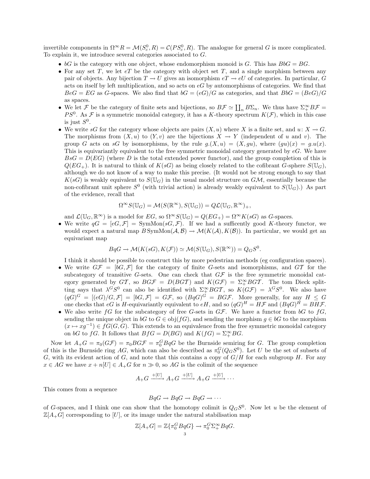invertible components in  $\Omega^{\infty}R = \mathcal{M}(S_c^0, R) = \mathcal{C}(PS_c^0, R)$ . The analogue for general G is more complicated. To explain it, we introduce several categories associated to G.

- $bG$  is the category with one object, whose endomorphism monoid is G. This has  $BbG = BG$ .
- For any set T, we let  $eT$  be the category with object set T, and a single morphism between any pair of objects. Any bijection  $T \to U$  gives an isomorphism  $eT \to eU$  of categories. In particular, G acts on itself by left multiplication, and so acts on  $eG$  by automorphisms of categories. We find that  $BeG = EG$  as G-spaces. We also find that  $bG = (eG)/G$  as categories, and that  $BbG = (BeG)/G$ as spaces.
- We let F be the category of finite sets and bijections, so  $B\mathcal{F} \simeq \coprod_n B\Sigma_n$ . We thus have  $\Sigma^{\infty}_+ B\mathcal{F} =$ PS<sup>0</sup>. As F is a symmetric monoidal category, it has a K-theory spectrum  $K(\mathcal{F})$ , which in this case is just  $S^0$ .
- We write sG for the category whose objects are pairs  $(X, u)$  where X is a finite set, and  $u: X \to G$ . The morphisms from  $(X, u)$  to  $(Y, v)$  are the bijections  $X \to Y$  (independent of u and v). The group G acts on sG by isomorphisms, by the rule  $g.(X, u) = (X, gu)$ , where  $(gu)(x) = g.u(x)$ . This is equivariantly equivalent to the free symmetric monoidal category generated by  $eG$ . We have  $BsG = D(EG)$  (where D is the total extended power functor), and the group completion of this is  $Q(EG_+)$ . It is natural to think of  $K(sG)$  as being closely related to the cofibrant G-sphere  $S(\mathbb{U}_G)$ , although we do not know of a way to make this precise. (It would not be strong enough to say that  $K(sG)$  is weakly equivalent to  $S(\mathbb{U}_G)$  in the usual model structure on  $G\mathcal{M}$ , essentially because the non-cofibrant unit sphere  $S^0$  (with trivial action) is already weakly equivalent to  $S(\mathbb{U}_G)$ .) As part of the evidence, recall that

$$
\Omega^{\infty} S(\mathbb{U}_G) = \mathcal{M}(S(\mathbb{R}^{\infty}), S(\mathbb{U}_G)) = Q\mathcal{L}(\mathbb{U}_G, \mathbb{R}^{\infty})_+,
$$

and  $\mathcal{L}(\mathbb{U}_G, \mathbb{R}^{\infty})$  is a model for  $EG$ , so  $\Omega^{\infty}S(\mathbb{U}_G) = Q(EG_+) = \Omega^{\infty}K(sG)$  as G-spaces.

• We write  $qG = [eG, \mathcal{F}] = \text{SymMon}(sG, \mathcal{F})$ . If we had a sufficently good K-theory functor, we would expect a natural map  $B \text{SymMon}(\mathcal{A}, \mathcal{B}) \to \mathcal{M}(K(\mathcal{A}), K(\mathcal{B}))$ . In particular, we would get an equivariant map

$$
BqG \to \mathcal{M}(K(sG), K(\mathcal{F})) \simeq \mathcal{M}(S(\mathbb{U}_G), S(\mathbb{R}^{\infty})) = Q_G S^0.
$$

I think it should be possible to construct this by more pedestrian methods (eg configuration spaces).

- We write  $G\mathcal{F} = [bG, \mathcal{F}]$  for the category of finite G-sets and isomorphisms, and  $GT$  for the subcategory of transitive G-sets. One can check that  $G\mathcal{F}$  is the free symmetric monoidal category generated by  $GT$ , so  $BG\mathcal{F} = D(BGT)$  and  $K(G\mathcal{F}) = \sum_{+}^{\infty} BGT$ . The tom Dieck splitting says that  $\lambda^G S^0$  can also be identified with  $\Sigma^{\infty}_+ BGT$ , so  $K(G\mathcal{F}) = \lambda^G S^0$ . We also have  $(qG)^G = [(eG)/G, \mathcal{F}] = [bG, \mathcal{F}] = G\mathcal{F}$ , so  $(BqG)^G = BG\mathcal{F}$ . More generally, for any  $H \leq G$ one checks that eG is H-equivariantly equivalent to eH, and so  $(qG)^H = H\mathcal{F}$  and  $(BqG)^H = BHF$ .
- We also write  $fG$  for the subcategory of free G-sets in  $G\mathcal{F}$ . We have a functor from  $bG$  to  $fG$ , sending the unique object in bG to  $G \in \text{obj}(fG)$ , and sending the morphism  $g \in bG$  to the morphism  $(x \mapsto xg^{-1}) \in fG(G, G)$ . This extends to an equivalence from the free symmetric monoidal category on bG to fG. It follows that  $BfG = D(BG)$  and  $K(fG) = \sum_{+}^{\infty} BG$ .

Now let  $A_+G = \pi_0(GF) = \pi_0BGF = \pi_0^GBqG$  be the Burnside semiring for G. The group completion of this is the Burnside ring AG, which can also be described as  $\pi_0^G(Q_GS^0)$ . Let U be the set of subsets of G, with its evident action of G, and note that this contains a copy of  $G/H$  for each subgroup H. For any  $x \in AG$  we have  $x + n[U] \in A_+G$  for  $n \gg 0$ , so AG is the colimit of the sequence

$$
A_{+}G \xrightarrow{+[U]} A_{+}G \xrightarrow{+[U]} A_{+}G \xrightarrow{+[U]} \cdots
$$

This comes from a sequence

$$
BqG \to BqG \to BqG \to \cdots
$$

of G-spaces, and I think one can show that the homotopy colimit is  $Q_GS^0$ . Now let u be the element of  $\mathbb{Z}[A_+G]$  corresponding to [U], or its image under the natural stabilisation map

$$
\mathbb{Z}[A_+G] = \mathbb{Z}\{\pi_0^G B q G\} \to \pi_0^G \Sigma_+^{\infty} B q G.
$$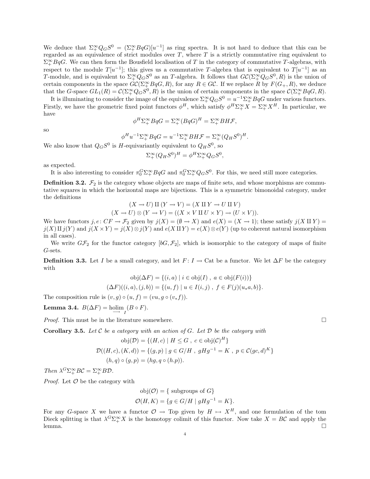We deduce that  $\Sigma^{\infty}_+ Q_G S^0 = (\Sigma^{\infty}_+ B_q G)[u^{-1}]$  as ring spectra. It is not hard to deduce that this can be regarded as an equivalence of strict modules over  $T$ , where  $T$  is a strictly commutative ring equivalent to  $\Sigma^{\infty}_+ B q$ . We can then form the Bousfield localisation of T in the category of commutative T-algebras, with respect to the module  $T[u^{-1}]$ ; this gives us a commutative T-algebra that is equivalent to  $T[u^{-1}]$  as an T-module, and is equivalent to  $\Sigma^{\infty}_+ Q_G S^0$  as an T-algebra. It follows that  $G\mathcal{C}(\Sigma^{\infty}_+ Q_G S^0, R)$  is the union of certain components in the space  $G\mathcal{C}(\Sigma^\infty_+ BqG, R)$ , for any  $R \in G\mathcal{C}$ . If we replace R by  $F(G_+, R)$ , we deduce that the G-space  $GL_1(R) = \mathcal{C}(\Sigma^{\infty}_+ Q_G S^0, R)$  is the union of certain components in the space  $\mathcal{C}(\Sigma^{\infty}_+ B q G, R)$ .

It is illuminating to consider the image of the equivalence  $\Sigma^{\infty}_+ Q_G S^0 = u^{-1} \Sigma^{\infty}_+ B_q G$  under various functors. Firstly, we have the geometric fixed point functors  $\phi^H$ , which satisfy  $\phi^H \Sigma^{\infty}_{+} X = \Sigma^{\infty}_{+} X^H$ . In particular, we have

$$
\phi^H \Sigma^{\infty}_+ B q G = \Sigma^{\infty}_+ (B q G)^H = \Sigma^{\infty}_+ B H \mathcal{F},
$$

so

$$
\phi^H u^{-1} \Sigma^{\infty}_+ B q G = u^{-1} \Sigma^{\infty}_+ B H \mathcal{F} = \Sigma^{\infty}_+ (Q_H S^0)^H.
$$

We also know that  $Q_GS^0$  is H-equivariantly equivalent to  $Q_HS^0$ , so

$$
\Sigma^{\infty}_+(Q_H S^0)^H = \phi^H \Sigma^{\infty}_+ Q_G S^0
$$

,

as expected.

It is also interesting to consider  $\pi_0^G \Sigma^{\infty}_{+} B q G$  and  $\pi_0^G \Sigma^{\infty}_{+} Q_G S^0$ . For this, we need still more categories.

**Definition 3.2.**  $\mathcal{F}_2$  is the category whose objects are maps of finite sets, and whose morphisms are commutative squares in which the horizontal maps are bijections. This is a symmetric bimonoidal category, under the definitions

$$
(X \to U) \amalg (Y \to V) = (X \amalg Y \to U \amalg V)
$$

$$
(X \to U) \otimes (Y \to V) = ((X \times V \amalg U \times Y) \to (U \times V)).
$$

We have functors  $j, e: CF \to \mathcal{F}_2$  given by  $j(X) = (\emptyset \to X)$  and  $e(X) = (X \to 1)$ ; these satisfy  $j(X \amalg Y) =$  $j(X)\amalg j(Y)$  and  $j(X \times Y) = j(X) \otimes j(Y)$  and  $e(X \amalg Y) = e(X) \otimes e(Y)$  (up to coherent natural isomorphism in all cases).

We write  $G\mathcal{F}_2$  for the functor category  $[bG, \mathcal{F}_2]$ , which is isomorphic to the category of maps of finite G-sets.

**Definition 3.3.** Let I be a small category, and let  $F: I \to \text{Cat}$  be a functor. We let  $\Delta F$  be the category with

$$
obj(\Delta F) = \{(i, a) \mid i \in obj(I), a \in obj(F(i))\}
$$

$$
(\Delta F)((i, a), (j, b)) = \{(u, f) \mid u \in I(i, j), f \in F(j)(u * a, b)\}.
$$

The composition rule is  $(v, g) \circ (u, f) = (vu, g \circ (v_* f)).$ 

Lemma 3.4.  $B(\Delta F) = \text{holim}_{I} (B \circ F)$ .

*Proof.* This must be in the literature somewhere.  $\square$ 

<span id="page-3-0"></span>**Corollary 3.5.** Let C be a category with an action of G. Let  $D$  be the category with

$$
obj(\mathcal{D}) = \{(H, c) | H \leq G, c \in obj(\mathcal{C})^H\}
$$
  

$$
\mathcal{D}((H, c), (K, d)) = \{(g, p) | g \in G/H, gHg^{-1} = K, p \in \mathcal{C}(gc, d)^K\}
$$
  

$$
(h, q) \circ (g, p) = (hg, q \circ (h.p)).
$$

Then  $\lambda^G \Sigma^{\infty}_+ B \mathcal{C} = \Sigma^{\infty}_+ B \mathcal{D}$ .

*Proof.* Let  $\mathcal O$  be the category with

$$
obj(\mathcal{O}) = \{ \text{ subgroups of } G \}
$$
  

$$
\mathcal{O}(H, K) = \{ g \in G/H \mid gHg^{-1} = K \}.
$$

For any G-space X we have a functor  $\mathcal{O} \to$  Top given by  $H \mapsto X^H$ , and one formulation of the tom Dieck splitting is that  $\lambda^G \Sigma^{\infty}_{+} X$  is the homotopy colimit of this functor. Now take  $X = B\mathcal{C}$  and apply the lemma. □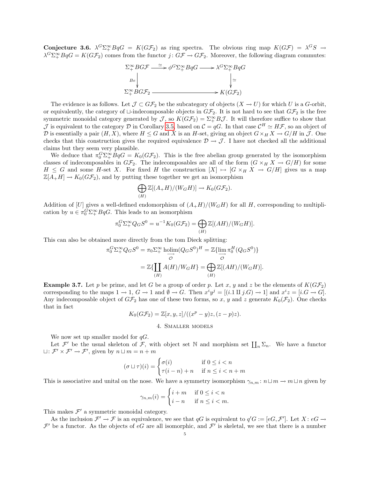Conjecture 3.6.  $\lambda^G \Sigma^{\infty}_+ B q G = K (G \mathcal{F}_2)$  as ring spectra. The obvious ring map  $K (G \mathcal{F}) = \lambda^G S \rightarrow$  $\lambda^G \Sigma^{\infty}_+ B q G = K (G \mathcal{F}_2)$  comes from the functor  $j: G \mathcal{F} \to G \mathcal{F}_2$ . Moreover, the following diagram commutes:



The evidence is as follows. Let  $\mathcal{J} \subset G\mathcal{F}_2$  be the subcategory of objects  $(X \to U)$  for which U is a G-orbit, or equivalently, the category of  $\Box$ -indecomposable objects in  $G\mathcal{F}_2$ . It is not hard to see that  $G\mathcal{F}_2$  is the free symmetric monoidal category generated by  $\mathcal{J}$ , so  $K(G\mathcal{F}_2) = \sum_{+}^{\infty} B\mathcal{J}$ . It will therefore suffice to show that J is equivalent to the category D in Corollary [3.5,](#page-3-0) based on  $\mathcal{C} = qG$ . In that case  $\mathcal{C}^H \simeq H\mathcal{F}$ , so an object of D is essentially a pair  $(H, X)$ , where  $H \leq G$  and X is an H-set, giving an object  $G \times_H X \to G/H$  in J. One checks that this construction gives the required equivalence  $\mathcal{D} \to \mathcal{J}$ . I have not checked all the additional claims but they seem very plausible.

We deduce that  $\pi_0^G \Sigma^{\infty}_+ B q G = K_0 (G \mathcal{F}_2)$ . This is the free abelian group generated by the isomorphism classes of indecomposables in  $G\mathcal{F}_2$ . The indecomposables are all of the form  $(G \times_H X \to G/H)$  for some  $H \leq G$  and some H-set X. For fixed H the construction  $[X] \mapsto [G \times_H X \to G/H]$  gives us a map  $\mathbb{Z}[A_+H] \to K_0(G\mathcal{F}_2)$ , and by putting these together we get an isomorphism

$$
\bigoplus_{(H)} \mathbb{Z}[(A+H)/(W_G H)] \to K_0(G\mathcal{F}_2).
$$

Addition of [U] gives a well-defined endomorphism of  $(A_{+}H)/(W_{G}H)$  for all H, corresponding to multiplication by  $u \in \pi_0^G \Sigma^{\infty}_+ BqG$ . This leads to an isomorphism

$$
\pi_0^G \Sigma^{\infty}_+ Q_G S^0 = u^{-1} K_0 (G \mathcal{F}_2) = \bigoplus_{(H)} \mathbb{Z}[(AH)/(W_G H)].
$$

This can also be obtained more directly from the tom Dieck splitting:

$$
{}_{0}^{G}\Sigma_{+}^{\infty}Q_{G}S^{0} = \pi_{0}\Sigma_{+}^{\infty} \text{ holim}(Q_{G}S^{0})^{H} = \mathbb{Z}\{\lim_{\substack{\longrightarrow \\ \mathcal{O}}} \pi_{0}^{H}(Q_{G}S^{0})\}
$$

$$
= \mathbb{Z}\{\coprod_{(H)} A(H)/W_{G}H\} = \bigoplus_{(H)} \mathbb{Z}[(AH)/(W_{G}H)].
$$

**Example 3.7.** Let p be prime, and let G be a group of order p. Let x, y and z be the elements of  $K(GF_2)$ corresponding to the maps  $1 \to 1$ ,  $G \to 1$  and  $\emptyset \to G$ . Then  $x^i y^j = [(i.1 \amalg j.G) \to 1]$  and  $x^i z = [i.G \to G]$ . Any indecomposable object of  $G\mathcal{F}_2$  has one of these two forms, so x, y and z generate  $K_0(\mathcal{F}_2)$ . One checks that in fact

 $K_0(G\mathcal{F}_2) = \mathbb{Z}[x, y, z]/((x^p - y)z, (z - p)z).$ 

# 4. Smaller models

We now set up smaller model for  $qG$ .

π

Let  $\mathcal{F}'$  be the usual skeleton of  $\mathcal{F}$ , with object set N and morphism set  $\prod_n \Sigma_n$ . We have a functor  $\sqcup: \mathcal{F}' \times \mathcal{F}' \to \mathcal{F}'$ , given by  $n \sqcup m = n + m$ 

$$
(\sigma \sqcup \tau)(i) = \begin{cases} \sigma(i) & \text{if } 0 \le i < n \\ \tau(i - n) + n & \text{if } n \le i < n + m \end{cases}
$$

This is associative and unital on the nose. We have a symmetry isomorphism  $\gamma_{n,m} : n \sqcup m \to m \sqcup n$  given by

$$
\gamma_{n,m}(i) = \begin{cases} i+m & \text{if } 0 \le i < n \\ i-n & \text{if } n \le i < m. \end{cases}
$$

This makes  $\mathcal{F}'$  a symmetric monoidal category.

As the inclusion  $\mathcal{F}' \to \mathcal{F}$  is an equivalence, we see that qG is equivalent to  $q'G := [eG, \mathcal{F}']$ . Let  $X: eG \to$  $\mathcal{F}'$  be a functor. As the objects of eG are all isomorphic, and  $\mathcal{F}'$  is skeletal, we see that there is a number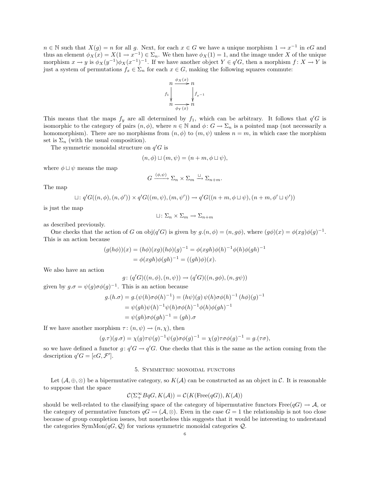$n \in \mathbb{N}$  such that  $X(g) = n$  for all g. Next, for each  $x \in G$  we have a unique morphism  $1 \to x^{-1}$  in eG and thus an element  $\phi_X(x) = X(1 \to x^{-1}) \in \Sigma_n$ . We then have  $\phi_X(1) = 1$ , and the image under X of the unique morphism  $x \to y$  is  $\phi_X(y^{-1})\phi_X(x^{-1})^{-1}$ . If we have another object  $Y \in q'G$ , then a morphism  $f: X \to Y$  is just a system of permutations  $f_x \in \Sigma_n$  for each  $x \in G$ , making the following squares commute:



This means that the maps  $f_y$  are all determined by  $f_1$ , which can be arbitrary. It follows that  $q'G$  is isomorphic to the category of pairs  $(n, \phi)$ , where  $n \in \mathbb{N}$  and  $\phi: G \to \Sigma_n$  is a pointed map (not necessarily a homomorphism). There are no morphisms from  $(n, \phi)$  to  $(m, \psi)$  unless  $n = m$ , in which case the morphism set is  $\Sigma_n$  (with the usual composition).

The symmetric monoidal structure on  $q'G$  is

$$
(n, \phi) \sqcup (m, \psi) = (n + m, \phi \sqcup \psi),
$$

where  $\phi \sqcup \psi$  means the map

$$
G \xrightarrow{(\phi,\psi)} \Sigma_n \times \Sigma_m \xrightarrow{\sqcup} \Sigma_{n+m}.
$$

The map

$$
\sqcup: q'G((n,\phi),(n,\phi')) \times q'G((m,\psi),(m,\psi')) \rightarrow q'G((n+m,\phi \sqcup \psi),(n+m,\phi' \sqcup \psi'))
$$

is just the map

$$
\sqcup: \Sigma_n \times \Sigma_m \to \Sigma_{n+m}
$$

as described previously.

One checks that the action of G on  $\text{obj}(q'G)$  is given by  $g.(n, \phi) = (n, g\phi)$ , where  $(g\phi)(x) = \phi(xg)\phi(g)^{-1}$ . This is an action because

$$
(g(h\phi))(x) = (h\phi)(xg)(h\phi)(g)^{-1} = \phi(xgh)\phi(h)^{-1}\phi(h)\phi(gh)^{-1}
$$
  
=  $\phi(xgh)\phi(gh)^{-1} = ((gh)\phi)(x).$ 

We also have an action

$$
g\colon (q'G)((n,\phi),(n,\psi))\to (q'G)((n,g\phi),(n,g\psi))
$$

given by  $g.\sigma = \psi(g)\sigma\phi(g)^{-1}$ . This is an action because

$$
g.(h.\sigma) = g.(\psi(h)\sigma\phi(h)^{-1}) = (h\psi)(g)\psi(h)\sigma\phi(h)^{-1}(h\phi)(g)^{-1}
$$
  
=  $\psi(gh)\psi(h)^{-1}\psi(h)\sigma\phi(h)^{-1}\phi(h)\phi(gh)^{-1}$   
=  $\psi(gh)\sigma\phi(gh)^{-1} = (gh).\sigma$ 

If we have another morphism  $\tau: (n, \psi) \to (n, \chi)$ , then

$$
(g.\tau)(g.\sigma) = \chi(g)\tau\psi(g)^{-1}\psi(g)\sigma\phi(g)^{-1} = \chi(g)\tau\sigma\phi(g)^{-1} = g.(\tau\sigma),
$$

so we have defined a functor  $g: q'G \to q'G$ . One checks that this is the same as the action coming from the description  $q'G = [eG, \mathcal{F}']$ .

### 5. Symmetric monoidal functors

Let  $(\mathcal{A}, \oplus, \otimes)$  be a bipermutative category, so  $K(\mathcal{A})$  can be constructed as an object in C. It is reasonable to suppose that the space

$$
\mathcal{C}(\Sigma_+ ^\infty BqG, K(\mathcal{A})) = \mathcal{C}(K({\rm Free}(qG)), K(\mathcal{A}))
$$

should be well-related to the classifying space of the category of bipermutative functors Free( $qG$ )  $\rightarrow \mathcal{A}$ , or the category of permutative functors  $qG \to (\mathcal{A}, \otimes)$ . Even in the case  $G = 1$  the relationship is not too close because of group completion issues, but nonetheless this suggests that it would be interesting to understand the categories SymMon $(qG, Q)$  for various symmetric monoidal categories  $Q$ .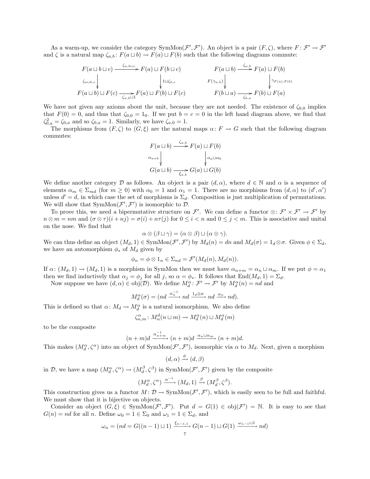As a warm-up, we consider the category SymMon $(\mathcal{F}', \mathcal{F}')$ . An object is a pair  $(F, \zeta)$ , where  $F: \mathcal{F}' \to \mathcal{F}'$ and  $\zeta$  is a natural map  $\zeta_{a,b}$ :  $F(a \sqcup b) \to F(a) \sqcup F(b)$  such that the following diagrams commute:

$$
F(a \sqcup b \sqcup c) \xrightarrow{\zeta_{a,b \sqcup c}} F(a) \sqcup F(b \sqcup c) \xrightarrow{\zeta_{a,b}} F(a \sqcup b) \xrightarrow{\zeta_{a,b}} F(a) \sqcup F(b)
$$
  
\n
$$
F(a \sqcup b) \sqcup F(c) \xrightarrow{\zeta_{a,b} \sqcup 1} F(a) \sqcup F(b) \sqcup F(c) \xrightarrow{\zeta_{b,c}} F(b \sqcup a) \xrightarrow{\zeta_{b,a}} F(b) \sqcup F(a)
$$

We have not given any axioms about the unit, because they are not needed. The existence of  $\zeta_{0,0}$  implies that  $F(0) = 0$ , and thus that  $\zeta_{0,0} = 1_0$ . If we put  $b = c = 0$  in the left hand diagram above, we find that  $\zeta_{0,a}^2 = \zeta_{0,a}$  and so  $\zeta_{0,a} = 1$ . Similarly, we have  $\zeta_{a,0} = 1$ .

The morphisms from  $(F, \zeta)$  to  $(G, \xi)$  are the natural maps  $\alpha \colon F \to G$  such that the following diagram commutes:

$$
F(a \sqcup b) \xrightarrow{\zeta_{a,b}} F(a) \sqcup F(b)
$$
  
\n
$$
\alpha_{a+b} \qquad \qquad \downarrow \alpha_a \sqcup \alpha_b
$$
  
\n
$$
G(a \sqcup b) \xrightarrow{\zeta_{a,b}} G(a) \sqcup G(b)
$$

We define another category D as follows. An object is a pair  $(d, \alpha)$ , where  $d \in \mathbb{N}$  and  $\alpha$  is a sequence of elements  $\alpha_m \in \Sigma_{md}$  (for  $m \ge 0$ ) with  $\alpha_0 = 1$  and  $\alpha_1 = 1$ . There are no morphisms from  $(d, \alpha)$  to  $(d', \alpha')$ unless  $d' = d$ , in which case the set of morphisms is  $\Sigma_d$ . Composition is just multiplication of permutations. We will show that  $SymMon(\mathcal{F}', \mathcal{F}')$  is isomorphic to  $D$ .

To prove this, we need a bipermutative structure on  $\mathcal{F}'$ . We can define a functor  $\otimes: \mathcal{F}' \times \mathcal{F}' \to \mathcal{F}'$  by  $n \otimes m = nm$  and  $(\sigma \otimes \tau)(i + nj) = \sigma(i) + n\tau(j)$  for  $0 \leq i < n$  and  $0 \leq j < m$ . This is associative and unital on the nose. We find that

$$
\alpha \otimes (\beta \sqcup \gamma) = (\alpha \otimes \beta) \sqcup (\alpha \otimes \gamma).
$$

We can thus define an object  $(M_d, 1) \in \text{SymMon}(\mathcal{F}', \mathcal{F}')$  by  $M_d(n) = dn$  and  $M_d(\sigma) = 1_d \otimes \sigma$ . Given  $\phi \in \Sigma_d$ , we have an automorphism  $\phi_*$  of  $M_d$  given by

$$
\phi_n = \phi \otimes 1_n \in \Sigma_{nd} = \mathcal{F}'(M_d(n), M_d(n)).
$$

If  $\alpha: (M_d, 1) \to (M_d, 1)$  is a morphism in SymMon then we must have  $\alpha_{n+m} = \alpha_n \sqcup \alpha_m$ . If we put  $\phi = \alpha_1$ then we find inductively that  $\alpha_j = \phi_j$  for all j, so  $\alpha = \phi_*$ . It follows that End $(M_d, 1) = \Sigma_d$ .

Now suppose we have  $(d, \alpha) \in obj(\mathcal{D})$ . We define  $M_d^{\alpha} : \mathcal{F}' \to \mathcal{F}'$  by  $M_d^{\alpha}(n) = nd$  and

$$
M_d^{\alpha}(\sigma) = (nd \xrightarrow{\alpha_n^{-1}} nd \xrightarrow{1_d \otimes \sigma} nd \xrightarrow{\alpha_n} nd).
$$

This is defined so that  $\alpha \colon M_d \to M_d^{\alpha}$  is a natural isomorphism. We also define

$$
\zeta_{n,m}^{\alpha} \colon M_{\alpha}^d(n \sqcup m) \to M_{d}^{\alpha}(n) \sqcup M_{d}^{\alpha}(m)
$$

to be the composite

$$
(n+m)d \xrightarrow{\alpha_{n+m}^{-1}} (n+m)d \xrightarrow{\alpha_n \sqcup \alpha_m} (n+m)d.
$$

This makes  $(M_d^{\alpha}, \zeta^{\alpha})$  into an object of SymMon $(\mathcal{F}', \mathcal{F}')$ , isomorphic via  $\alpha$  to  $M_d$ . Next, given a morphism

$$
(d, \alpha) \xrightarrow{\phi} (d, \beta)
$$

in D, we have a map  $(M_d^{\alpha}, \zeta^{\alpha}) \to (M_d^{\beta}, \zeta^{\beta})$  in SymMon $(\mathcal{F}', \mathcal{F}')$  given by the composite

$$
(M_d^{\alpha}, \zeta^{\alpha}) \xrightarrow{\alpha^{-1}} (M_d, 1) \xrightarrow{\beta} (M_d^{\beta}, \zeta^{\beta}).
$$

This construction gives us a functor  $M: \mathcal{D} \to \text{SymMon}(\mathcal{F}', \mathcal{F}')$ , which is easily seen to be full and faithful. We must show that it is bijective on objects.

Consider an object  $(G,\xi) \in \text{SymMon}(\mathcal{F}',\mathcal{F}')$ . Put  $d = G(1) \in \text{obj}(\mathcal{F}') = \mathbb{N}$ . It is easy to see that  $G(n) = nd$  for all n. Define  $\omega_0 = 1 \in \Sigma_0$  and  $\omega_1 = 1 \in \Sigma_d$ , and

$$
\omega_n = (nd = G((n-1)\sqcup 1) \xrightarrow{\xi_{n-1,1}} G(n-1) \sqcup G(1) \xrightarrow{\omega_{n-1}\sqcup 1} nd)
$$